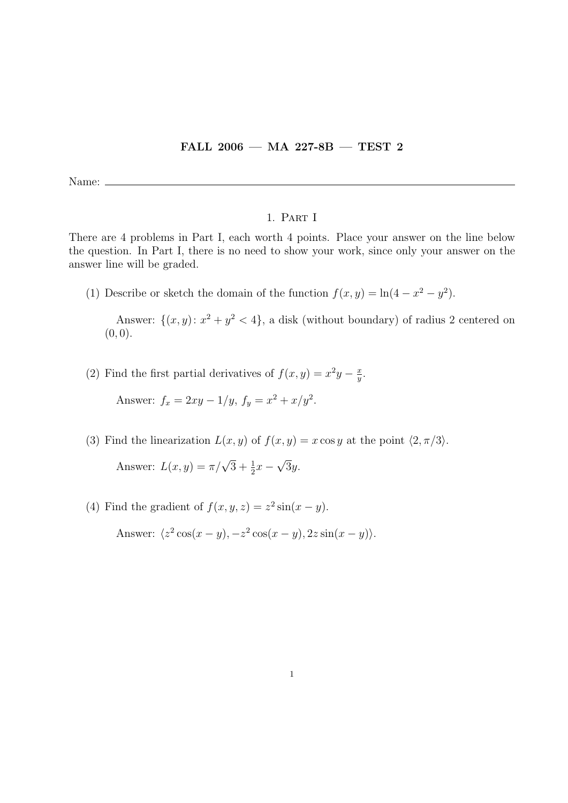## FALL 2006 — MA 227-8B — TEST 2

Name:  $\equiv$ 

## 1. Part I

There are 4 problems in Part I, each worth 4 points. Place your answer on the line below the question. In Part I, there is no need to show your work, since only your answer on the answer line will be graded.

(1) Describe or sketch the domain of the function  $f(x, y) = \ln(4 - x^2 - y^2)$ .

Answer:  $\{(x, y): x^2 + y^2 < 4\}$ , a disk (without boundary) of radius 2 centered on  $(0, 0).$ 

(2) Find the first partial derivatives of  $f(x, y) = x^2y - \frac{x^2}{y}$  $\frac{x}{y}$ .

Answer:  $f_x = 2xy - 1/y$ ,  $f_y = x^2 + x/y^2$ .

(3) Find the linearization  $L(x, y)$  of  $f(x, y) = x \cos y$  at the point  $\langle 2, \pi/3 \rangle$ .

Answer:  $L(x, y) = \pi/\sqrt{3} + \frac{1}{2}x$  – √ 3y.

(4) Find the gradient of  $f(x, y, z) = z^2 \sin(x - y)$ . Answer:  $\langle z^2 \cos(x-y), -z^2 \cos(x-y), 2z \sin(x-y) \rangle$ .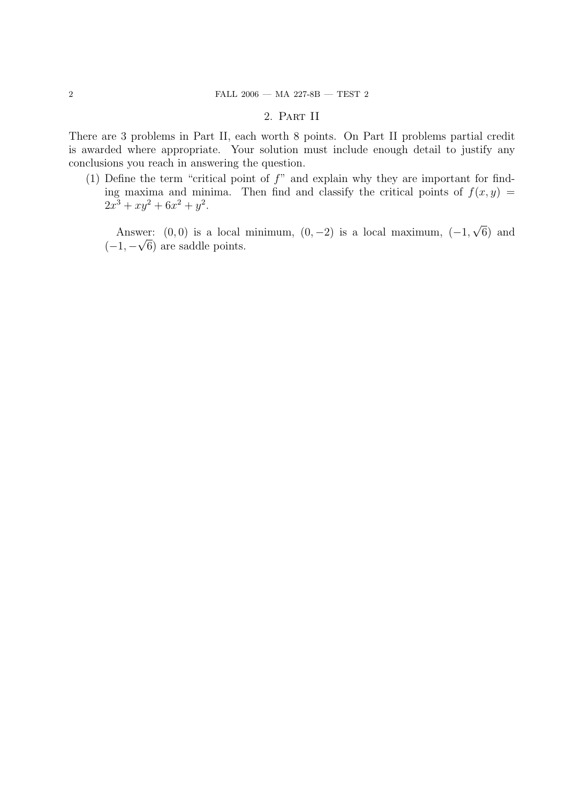## 2. Part II

There are 3 problems in Part II, each worth 8 points. On Part II problems partial credit is awarded where appropriate. Your solution must include enough detail to justify any conclusions you reach in answering the question.

(1) Define the term "critical point of  $f$ " and explain why they are important for finding maxima and minima. Then find and classify the critical points of  $f(x, y) =$  $2x^3 + xy^2 + 6x^2 + y^2$ .

Answer:  $(0,0)$  is a local minimum,  $(0,-2)$  is a local maximum,  $(-1,$ √ wer:  $(0,0)$  is a local minimum,  $(0,-2)$  is a local maximum,  $(-1,\sqrt{6})$  and  $(-1, -\sqrt{6})$  are saddle points.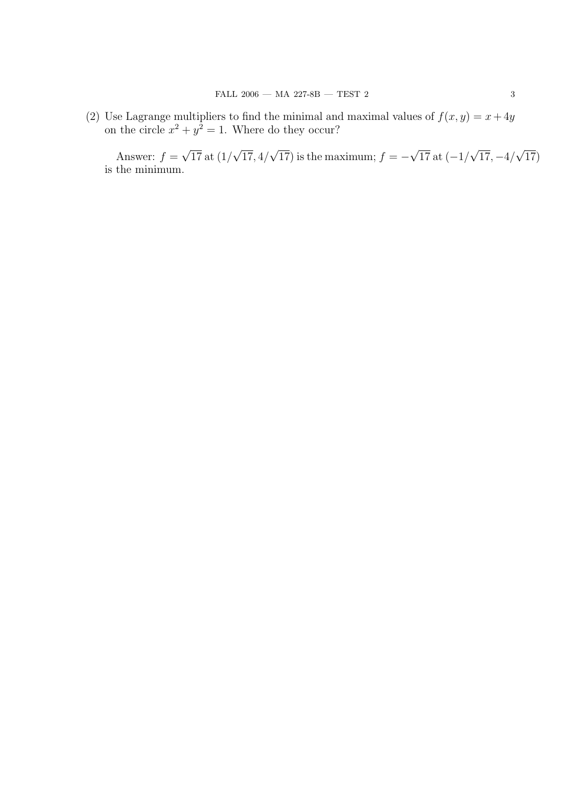(2) Use Lagrange multipliers to find the minimal and maximal values of  $f(x, y) = x + 4y$ on the circle  $x^2 + y^2 = 1$ . Where do they occur?

Answer:  $f =$ √ 17 at (1/ √ 17, 4/ √  $(17)$  is the maximum;  $f = -$ √  $17$  at  $(-1)$ √  $17, -4/$ √  $^{'}17)$ is the minimum.